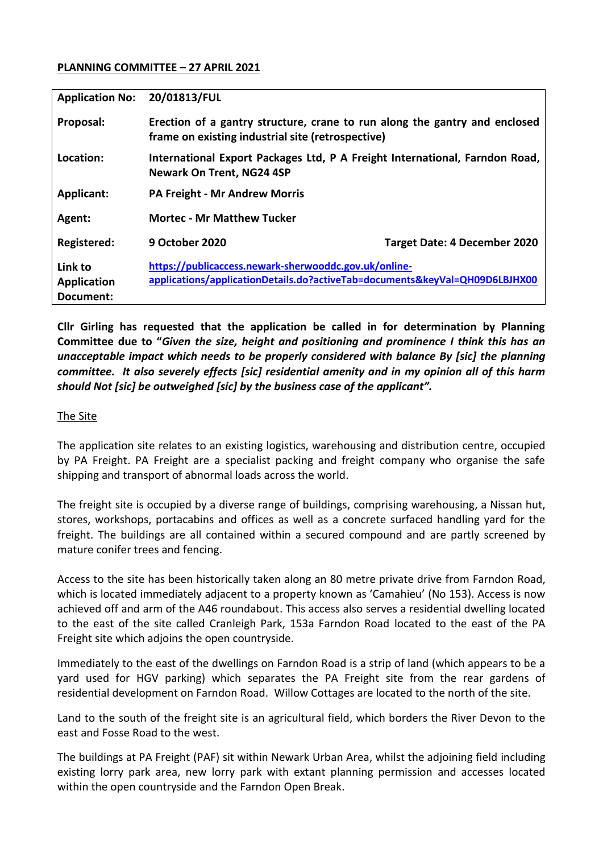### **PLANNING COMMITTEE – 27 APRIL 2021**

| <b>Application No:</b>                     | 20/01813/FUL                                                                                                                         |                                     |
|--------------------------------------------|--------------------------------------------------------------------------------------------------------------------------------------|-------------------------------------|
| Proposal:                                  | Erection of a gantry structure, crane to run along the gantry and enclosed<br>frame on existing industrial site (retrospective)      |                                     |
| Location:                                  | International Export Packages Ltd, P A Freight International, Farndon Road,<br><b>Newark On Trent, NG24 4SP</b>                      |                                     |
| <b>Applicant:</b>                          | <b>PA Freight - Mr Andrew Morris</b>                                                                                                 |                                     |
| Agent:                                     | <b>Mortec - Mr Matthew Tucker</b>                                                                                                    |                                     |
| Registered:                                | <b>9 October 2020</b>                                                                                                                | <b>Target Date: 4 December 2020</b> |
| Link to<br><b>Application</b><br>Document: | https://publicaccess.newark-sherwooddc.gov.uk/online-<br>applications/applicationDetails.do?activeTab=documents&keyVal=QH09D6LBJHX00 |                                     |

**Cllr Girling has requested that the application be called in for determination by Planning Committee due to "***Given the size, height and positioning and prominence I think this has an unacceptable impact which needs to be properly considered with balance By [sic] the planning committee. It also severely effects [sic] residential amenity and in my opinion all of this harm should Not [sic] be outweighed [sic] by the business case of the applicant".*

### The Site

The application site relates to an existing logistics, warehousing and distribution centre, occupied by PA Freight. PA Freight are a specialist packing and freight company who organise the safe shipping and transport of abnormal loads across the world.

The freight site is occupied by a diverse range of buildings, comprising warehousing, a Nissan hut, stores, workshops, portacabins and offices as well as a concrete surfaced handling yard for the freight. The buildings are all contained within a secured compound and are partly screened by mature conifer trees and fencing.

Access to the site has been historically taken along an 80 metre private drive from Farndon Road, which is located immediately adjacent to a property known as 'Camahieu' (No 153). Access is now achieved off and arm of the A46 roundabout. This access also serves a residential dwelling located to the east of the site called Cranleigh Park, 153a Farndon Road located to the east of the PA Freight site which adjoins the open countryside.

Immediately to the east of the dwellings on Farndon Road is a strip of land (which appears to be a yard used for HGV parking) which separates the PA Freight site from the rear gardens of residential development on Farndon Road. Willow Cottages are located to the north of the site.

Land to the south of the freight site is an agricultural field, which borders the River Devon to the east and Fosse Road to the west.

The buildings at PA Freight (PAF) sit within Newark Urban Area, whilst the adjoining field including existing lorry park area, new lorry park with extant planning permission and accesses located within the open countryside and the Farndon Open Break.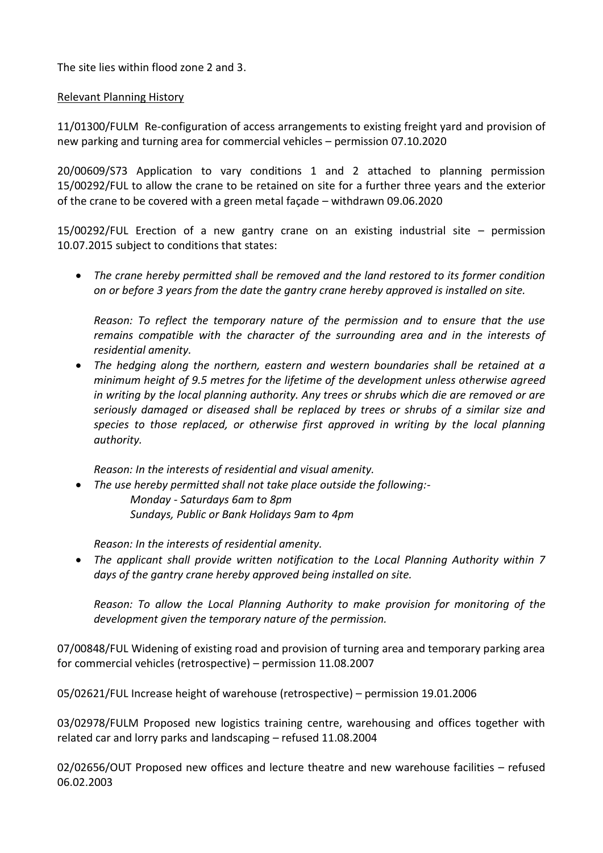The site lies within flood zone 2 and 3.

## Relevant Planning History

11/01300/FULM Re-configuration of access arrangements to existing freight yard and provision of new parking and turning area for commercial vehicles – permission 07.10.2020

20/00609/S73 Application to vary conditions 1 and 2 attached to planning permission 15/00292/FUL to allow the crane to be retained on site for a further three years and the exterior of the crane to be covered with a green metal façade – withdrawn 09.06.2020

15/00292/FUL Erection of a new gantry crane on an existing industrial site – permission 10.07.2015 subject to conditions that states:

 *The crane hereby permitted shall be removed and the land restored to its former condition on or before 3 years from the date the gantry crane hereby approved is installed on site.*

*Reason: To reflect the temporary nature of the permission and to ensure that the use remains compatible with the character of the surrounding area and in the interests of residential amenity.*

 *The hedging along the northern, eastern and western boundaries shall be retained at a minimum height of 9.5 metres for the lifetime of the development unless otherwise agreed in writing by the local planning authority. Any trees or shrubs which die are removed or are seriously damaged or diseased shall be replaced by trees or shrubs of a similar size and species to those replaced, or otherwise first approved in writing by the local planning authority.*

*Reason: In the interests of residential and visual amenity.*

 *The use hereby permitted shall not take place outside the following:- Monday - Saturdays 6am to 8pm Sundays, Public or Bank Holidays 9am to 4pm*

*Reason: In the interests of residential amenity.*

 *The applicant shall provide written notification to the Local Planning Authority within 7 days of the gantry crane hereby approved being installed on site.*

*Reason: To allow the Local Planning Authority to make provision for monitoring of the development given the temporary nature of the permission.*

07/00848/FUL Widening of existing road and provision of turning area and temporary parking area for commercial vehicles (retrospective) – permission 11.08.2007

05/02621/FUL Increase height of warehouse (retrospective) – permission 19.01.2006

03/02978/FULM Proposed new logistics training centre, warehousing and offices together with related car and lorry parks and landscaping – refused 11.08.2004

02/02656/OUT Proposed new offices and lecture theatre and new warehouse facilities – refused 06.02.2003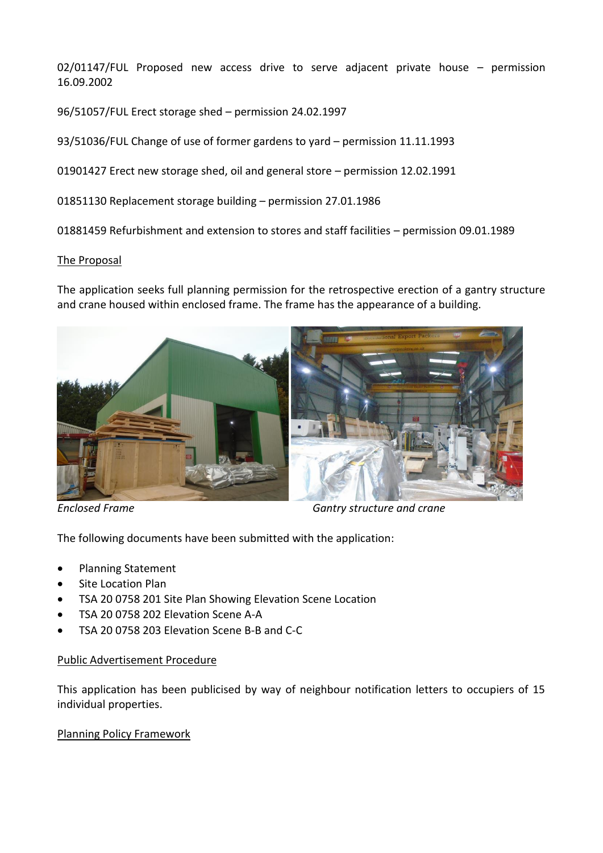02/01147/FUL Proposed new access drive to serve adjacent private house – permission 16.09.2002

96/51057/FUL Erect storage shed – permission 24.02.1997

93/51036/FUL Change of use of former gardens to yard – permission 11.11.1993

01901427 Erect new storage shed, oil and general store – permission 12.02.1991

01851130 Replacement storage building – permission 27.01.1986

01881459 Refurbishment and extension to stores and staff facilities – permission 09.01.1989

#### The Proposal

The application seeks full planning permission for the retrospective erection of a gantry structure and crane housed within enclosed frame. The frame has the appearance of a building.



*Enclosed Frame Gantry structure and crane*

The following documents have been submitted with the application:

- Planning Statement
- Site Location Plan
- TSA 20 0758 201 Site Plan Showing Elevation Scene Location
- TSA 20 0758 202 Elevation Scene A-A
- TSA 20 0758 203 Elevation Scene B-B and C-C

### Public Advertisement Procedure

This application has been publicised by way of neighbour notification letters to occupiers of 15 individual properties.

### Planning Policy Framework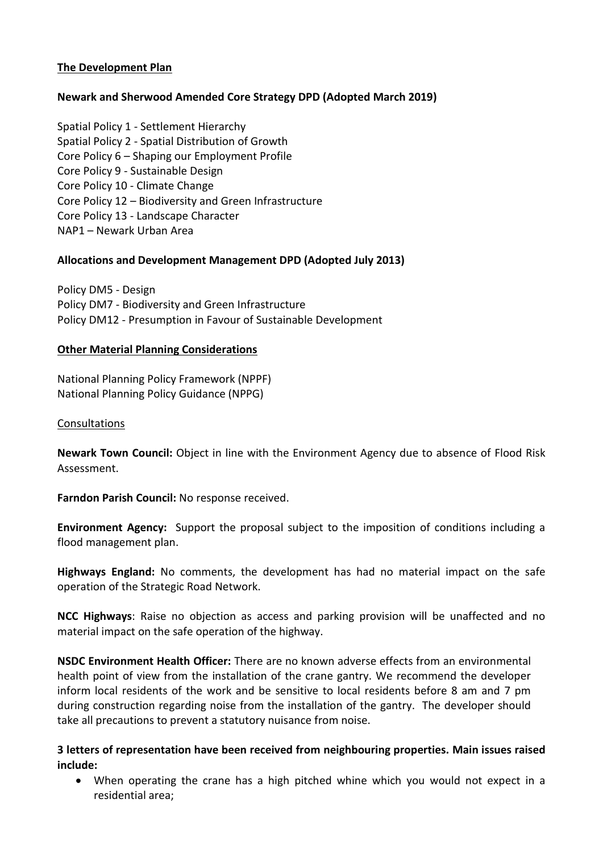## **The Development Plan**

# **Newark and Sherwood Amended Core Strategy DPD (Adopted March 2019)**

Spatial Policy 1 - Settlement Hierarchy Spatial Policy 2 - Spatial Distribution of Growth Core Policy 6 – Shaping our Employment Profile Core Policy 9 - Sustainable Design Core Policy 10 - Climate Change Core Policy 12 – Biodiversity and Green Infrastructure Core Policy 13 - Landscape Character NAP1 – Newark Urban Area

## **Allocations and Development Management DPD (Adopted July 2013)**

Policy DM5 - Design Policy DM7 - Biodiversity and Green Infrastructure Policy DM12 - Presumption in Favour of Sustainable Development

### **Other Material Planning Considerations**

National Planning Policy Framework (NPPF) National Planning Policy Guidance (NPPG)

## Consultations

**Newark Town Council:** Object in line with the Environment Agency due to absence of Flood Risk Assessment.

**Farndon Parish Council:** No response received.

**Environment Agency:** Support the proposal subject to the imposition of conditions including a flood management plan.

**Highways England:** No comments, the development has had no material impact on the safe operation of the Strategic Road Network.

**NCC Highways**: Raise no objection as access and parking provision will be unaffected and no material impact on the safe operation of the highway.

**NSDC Environment Health Officer:** There are no known adverse effects from an environmental health point of view from the installation of the crane gantry. We recommend the developer inform local residents of the work and be sensitive to local residents before 8 am and 7 pm during construction regarding noise from the installation of the gantry. The developer should take all precautions to prevent a statutory nuisance from noise.

**3 letters of representation have been received from neighbouring properties. Main issues raised include:**

 When operating the crane has a high pitched whine which you would not expect in a residential area;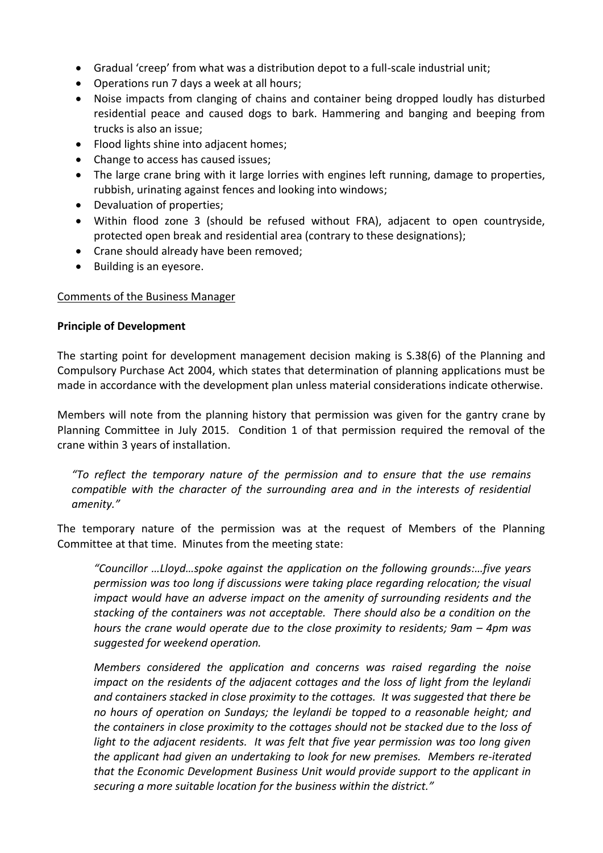- Gradual 'creep' from what was a distribution depot to a full-scale industrial unit;
- Operations run 7 days a week at all hours;
- Noise impacts from clanging of chains and container being dropped loudly has disturbed residential peace and caused dogs to bark. Hammering and banging and beeping from trucks is also an issue;
- Flood lights shine into adjacent homes;
- Change to access has caused issues;
- The large crane bring with it large lorries with engines left running, damage to properties, rubbish, urinating against fences and looking into windows;
- Devaluation of properties;
- Within flood zone 3 (should be refused without FRA), adjacent to open countryside, protected open break and residential area (contrary to these designations);
- Crane should already have been removed;
- Building is an eyesore.

### Comments of the Business Manager

### **Principle of Development**

The starting point for development management decision making is S.38(6) of the Planning and Compulsory Purchase Act 2004, which states that determination of planning applications must be made in accordance with the development plan unless material considerations indicate otherwise.

Members will note from the planning history that permission was given for the gantry crane by Planning Committee in July 2015. Condition 1 of that permission required the removal of the crane within 3 years of installation.

*"To reflect the temporary nature of the permission and to ensure that the use remains compatible with the character of the surrounding area and in the interests of residential amenity."*

The temporary nature of the permission was at the request of Members of the Planning Committee at that time. Minutes from the meeting state:

*"Councillor …Lloyd…spoke against the application on the following grounds:…five years permission was too long if discussions were taking place regarding relocation; the visual impact would have an adverse impact on the amenity of surrounding residents and the stacking of the containers was not acceptable. There should also be a condition on the hours the crane would operate due to the close proximity to residents; 9am – 4pm was suggested for weekend operation.*

*Members considered the application and concerns was raised regarding the noise impact on the residents of the adjacent cottages and the loss of light from the leylandi and containers stacked in close proximity to the cottages. It was suggested that there be no hours of operation on Sundays; the leylandi be topped to a reasonable height; and the containers in close proximity to the cottages should not be stacked due to the loss of light to the adjacent residents. It was felt that five year permission was too long given the applicant had given an undertaking to look for new premises. Members re-iterated that the Economic Development Business Unit would provide support to the applicant in securing a more suitable location for the business within the district."*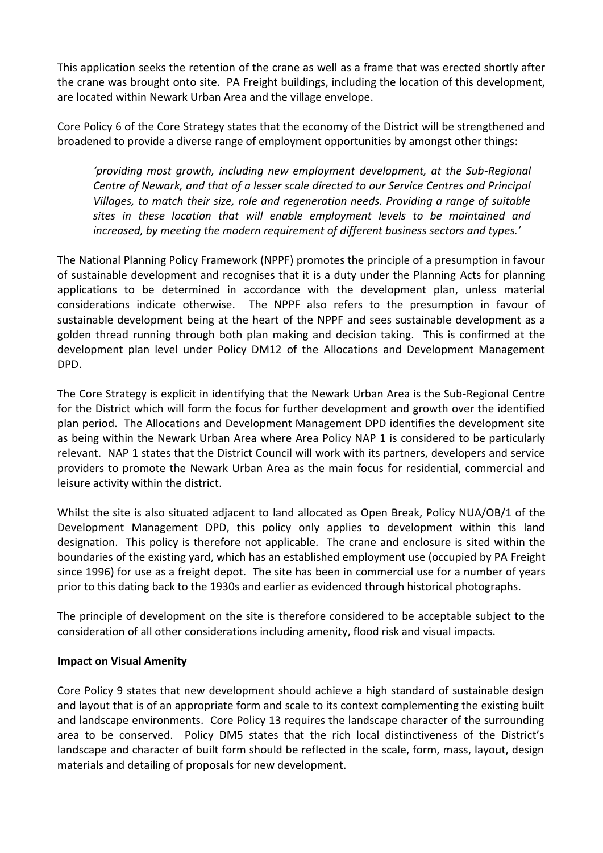This application seeks the retention of the crane as well as a frame that was erected shortly after the crane was brought onto site. PA Freight buildings, including the location of this development, are located within Newark Urban Area and the village envelope.

Core Policy 6 of the Core Strategy states that the economy of the District will be strengthened and broadened to provide a diverse range of employment opportunities by amongst other things:

*'providing most growth, including new employment development, at the Sub-Regional Centre of Newark, and that of a lesser scale directed to our Service Centres and Principal Villages, to match their size, role and regeneration needs. Providing a range of suitable sites in these location that will enable employment levels to be maintained and increased, by meeting the modern requirement of different business sectors and types.'*

The National Planning Policy Framework (NPPF) promotes the principle of a presumption in favour of sustainable development and recognises that it is a duty under the Planning Acts for planning applications to be determined in accordance with the development plan, unless material considerations indicate otherwise. The NPPF also refers to the presumption in favour of sustainable development being at the heart of the NPPF and sees sustainable development as a golden thread running through both plan making and decision taking. This is confirmed at the development plan level under Policy DM12 of the Allocations and Development Management DPD.

The Core Strategy is explicit in identifying that the Newark Urban Area is the Sub-Regional Centre for the District which will form the focus for further development and growth over the identified plan period. The Allocations and Development Management DPD identifies the development site as being within the Newark Urban Area where Area Policy NAP 1 is considered to be particularly relevant. NAP 1 states that the District Council will work with its partners, developers and service providers to promote the Newark Urban Area as the main focus for residential, commercial and leisure activity within the district.

Whilst the site is also situated adjacent to land allocated as Open Break, Policy NUA/OB/1 of the Development Management DPD, this policy only applies to development within this land designation. This policy is therefore not applicable. The crane and enclosure is sited within the boundaries of the existing yard, which has an established employment use (occupied by PA Freight since 1996) for use as a freight depot. The site has been in commercial use for a number of years prior to this dating back to the 1930s and earlier as evidenced through historical photographs.

The principle of development on the site is therefore considered to be acceptable subject to the consideration of all other considerations including amenity, flood risk and visual impacts.

# **Impact on Visual Amenity**

Core Policy 9 states that new development should achieve a high standard of sustainable design and layout that is of an appropriate form and scale to its context complementing the existing built and landscape environments. Core Policy 13 requires the landscape character of the surrounding area to be conserved. Policy DM5 states that the rich local distinctiveness of the District's landscape and character of built form should be reflected in the scale, form, mass, layout, design materials and detailing of proposals for new development.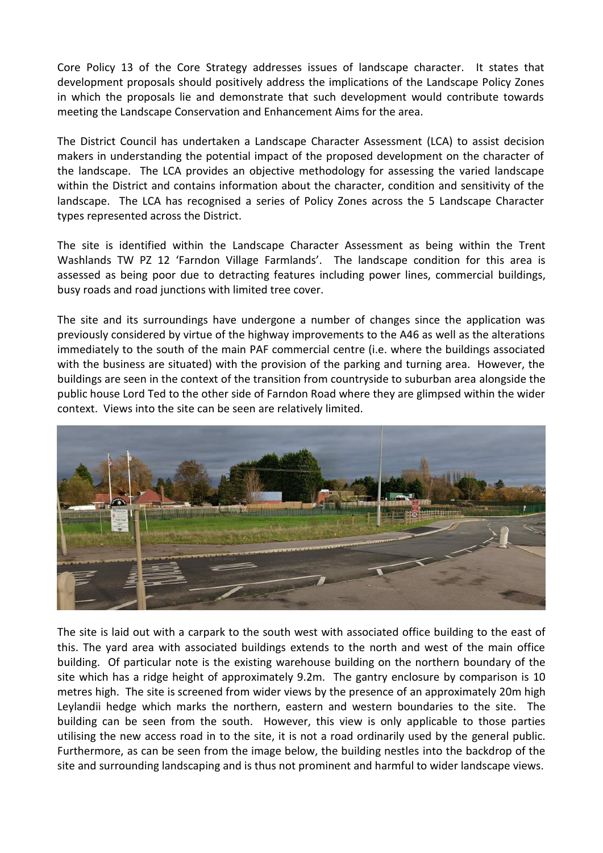Core Policy 13 of the Core Strategy addresses issues of landscape character. It states that development proposals should positively address the implications of the Landscape Policy Zones in which the proposals lie and demonstrate that such development would contribute towards meeting the Landscape Conservation and Enhancement Aims for the area.

The District Council has undertaken a Landscape Character Assessment (LCA) to assist decision makers in understanding the potential impact of the proposed development on the character of the landscape. The LCA provides an objective methodology for assessing the varied landscape within the District and contains information about the character, condition and sensitivity of the landscape. The LCA has recognised a series of Policy Zones across the 5 Landscape Character types represented across the District.

The site is identified within the Landscape Character Assessment as being within the Trent Washlands TW PZ 12 'Farndon Village Farmlands'. The landscape condition for this area is assessed as being poor due to detracting features including power lines, commercial buildings, busy roads and road junctions with limited tree cover.

The site and its surroundings have undergone a number of changes since the application was previously considered by virtue of the highway improvements to the A46 as well as the alterations immediately to the south of the main PAF commercial centre (i.e. where the buildings associated with the business are situated) with the provision of the parking and turning area. However, the buildings are seen in the context of the transition from countryside to suburban area alongside the public house Lord Ted to the other side of Farndon Road where they are glimpsed within the wider context. Views into the site can be seen are relatively limited.



The site is laid out with a carpark to the south west with associated office building to the east of this. The yard area with associated buildings extends to the north and west of the main office building. Of particular note is the existing warehouse building on the northern boundary of the site which has a ridge height of approximately 9.2m. The gantry enclosure by comparison is 10 metres high. The site is screened from wider views by the presence of an approximately 20m high Leylandii hedge which marks the northern, eastern and western boundaries to the site. The building can be seen from the south. However, this view is only applicable to those parties utilising the new access road in to the site, it is not a road ordinarily used by the general public. Furthermore, as can be seen from the image below, the building nestles into the backdrop of the site and surrounding landscaping and is thus not prominent and harmful to wider landscape views.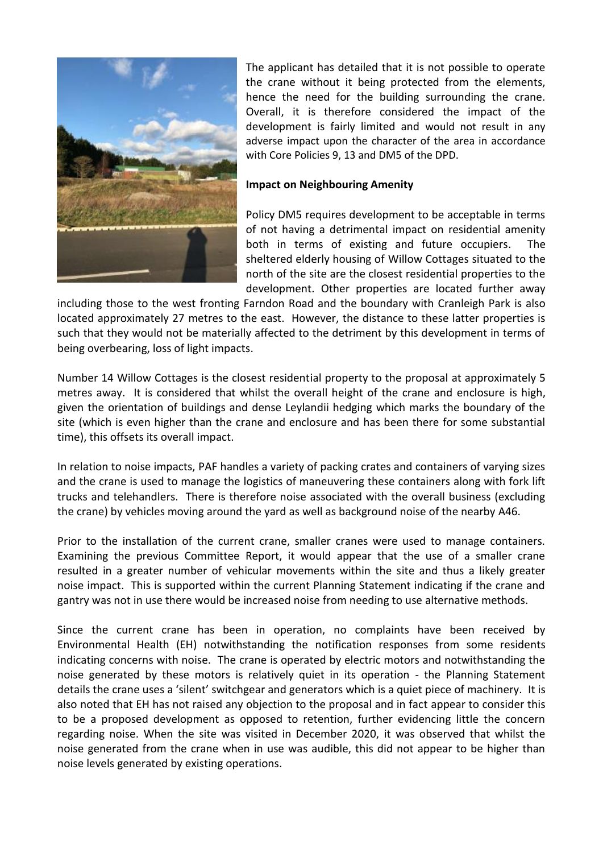

The applicant has detailed that it is not possible to operate the crane without it being protected from the elements, hence the need for the building surrounding the crane. Overall, it is therefore considered the impact of the development is fairly limited and would not result in any adverse impact upon the character of the area in accordance with Core Policies 9, 13 and DM5 of the DPD.

### **Impact on Neighbouring Amenity**

Policy DM5 requires development to be acceptable in terms of not having a detrimental impact on residential amenity both in terms of existing and future occupiers. The sheltered elderly housing of Willow Cottages situated to the north of the site are the closest residential properties to the development. Other properties are located further away

including those to the west fronting Farndon Road and the boundary with Cranleigh Park is also located approximately 27 metres to the east. However, the distance to these latter properties is such that they would not be materially affected to the detriment by this development in terms of being overbearing, loss of light impacts.

Number 14 Willow Cottages is the closest residential property to the proposal at approximately 5 metres away. It is considered that whilst the overall height of the crane and enclosure is high, given the orientation of buildings and dense Leylandii hedging which marks the boundary of the site (which is even higher than the crane and enclosure and has been there for some substantial time), this offsets its overall impact.

In relation to noise impacts, PAF handles a variety of packing crates and containers of varying sizes and the crane is used to manage the logistics of maneuvering these containers along with fork lift trucks and telehandlers. There is therefore noise associated with the overall business (excluding the crane) by vehicles moving around the yard as well as background noise of the nearby A46.

Prior to the installation of the current crane, smaller cranes were used to manage containers. Examining the previous Committee Report, it would appear that the use of a smaller crane resulted in a greater number of vehicular movements within the site and thus a likely greater noise impact. This is supported within the current Planning Statement indicating if the crane and gantry was not in use there would be increased noise from needing to use alternative methods.

Since the current crane has been in operation, no complaints have been received by Environmental Health (EH) notwithstanding the notification responses from some residents indicating concerns with noise. The crane is operated by electric motors and notwithstanding the noise generated by these motors is relatively quiet in its operation - the Planning Statement details the crane uses a 'silent' switchgear and generators which is a quiet piece of machinery. It is also noted that EH has not raised any objection to the proposal and in fact appear to consider this to be a proposed development as opposed to retention, further evidencing little the concern regarding noise. When the site was visited in December 2020, it was observed that whilst the noise generated from the crane when in use was audible, this did not appear to be higher than noise levels generated by existing operations.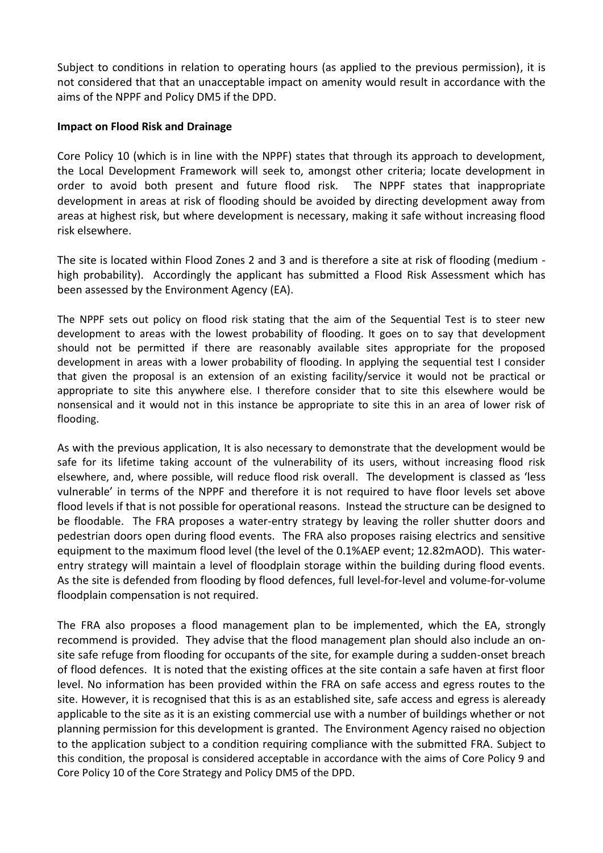Subject to conditions in relation to operating hours (as applied to the previous permission), it is not considered that that an unacceptable impact on amenity would result in accordance with the aims of the NPPF and Policy DM5 if the DPD.

## **Impact on Flood Risk and Drainage**

Core Policy 10 (which is in line with the NPPF) states that through its approach to development, the Local Development Framework will seek to, amongst other criteria; locate development in order to avoid both present and future flood risk. The NPPF states that inappropriate development in areas at risk of flooding should be avoided by directing development away from areas at highest risk, but where development is necessary, making it safe without increasing flood risk elsewhere.

The site is located within Flood Zones 2 and 3 and is therefore a site at risk of flooding (medium high probability). Accordingly the applicant has submitted a Flood Risk Assessment which has been assessed by the Environment Agency (EA).

The NPPF sets out policy on flood risk stating that the aim of the Sequential Test is to steer new development to areas with the lowest probability of flooding. It goes on to say that development should not be permitted if there are reasonably available sites appropriate for the proposed development in areas with a lower probability of flooding. In applying the sequential test I consider that given the proposal is an extension of an existing facility/service it would not be practical or appropriate to site this anywhere else. I therefore consider that to site this elsewhere would be nonsensical and it would not in this instance be appropriate to site this in an area of lower risk of flooding.

As with the previous application, It is also necessary to demonstrate that the development would be safe for its lifetime taking account of the vulnerability of its users, without increasing flood risk elsewhere, and, where possible, will reduce flood risk overall. The development is classed as 'less vulnerable' in terms of the NPPF and therefore it is not required to have floor levels set above flood levels if that is not possible for operational reasons. Instead the structure can be designed to be floodable. The FRA proposes a water-entry strategy by leaving the roller shutter doors and pedestrian doors open during flood events. The FRA also proposes raising electrics and sensitive equipment to the maximum flood level (the level of the 0.1%AEP event; 12.82mAOD). This waterentry strategy will maintain a level of floodplain storage within the building during flood events. As the site is defended from flooding by flood defences, full level-for-level and volume-for-volume floodplain compensation is not required.

The FRA also proposes a flood management plan to be implemented, which the EA, strongly recommend is provided. They advise that the flood management plan should also include an onsite safe refuge from flooding for occupants of the site, for example during a sudden-onset breach of flood defences. It is noted that the existing offices at the site contain a safe haven at first floor level. No information has been provided within the FRA on safe access and egress routes to the site. However, it is recognised that this is as an established site, safe access and egress is aleready applicable to the site as it is an existing commercial use with a number of buildings whether or not planning permission for this development is granted. The Environment Agency raised no objection to the application subject to a condition requiring compliance with the submitted FRA. Subject to this condition, the proposal is considered acceptable in accordance with the aims of Core Policy 9 and Core Policy 10 of the Core Strategy and Policy DM5 of the DPD.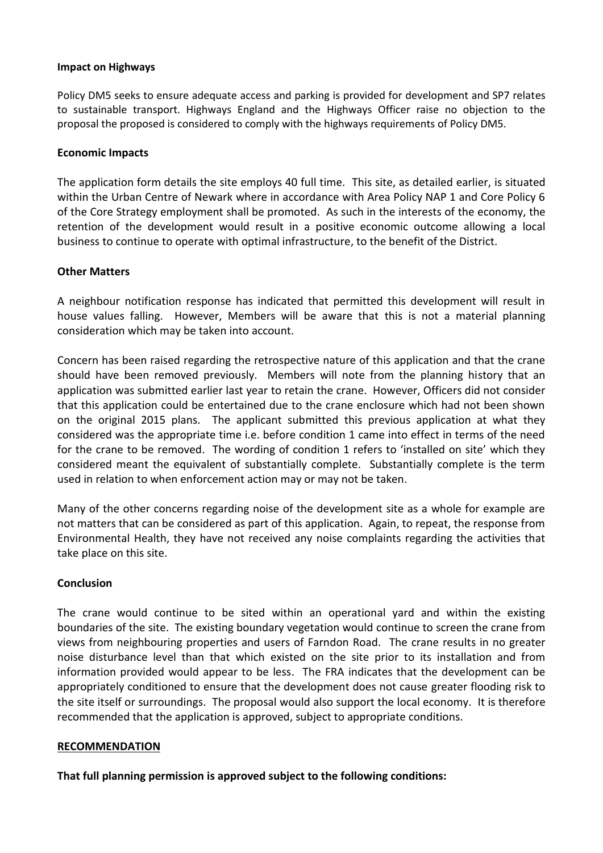### **Impact on Highways**

Policy DM5 seeks to ensure adequate access and parking is provided for development and SP7 relates to sustainable transport. Highways England and the Highways Officer raise no objection to the proposal the proposed is considered to comply with the highways requirements of Policy DM5.

### **Economic Impacts**

The application form details the site employs 40 full time. This site, as detailed earlier, is situated within the Urban Centre of Newark where in accordance with Area Policy NAP 1 and Core Policy 6 of the Core Strategy employment shall be promoted. As such in the interests of the economy, the retention of the development would result in a positive economic outcome allowing a local business to continue to operate with optimal infrastructure, to the benefit of the District.

### **Other Matters**

A neighbour notification response has indicated that permitted this development will result in house values falling. However, Members will be aware that this is not a material planning consideration which may be taken into account.

Concern has been raised regarding the retrospective nature of this application and that the crane should have been removed previously. Members will note from the planning history that an application was submitted earlier last year to retain the crane. However, Officers did not consider that this application could be entertained due to the crane enclosure which had not been shown on the original 2015 plans. The applicant submitted this previous application at what they considered was the appropriate time i.e. before condition 1 came into effect in terms of the need for the crane to be removed. The wording of condition 1 refers to 'installed on site' which they considered meant the equivalent of substantially complete. Substantially complete is the term used in relation to when enforcement action may or may not be taken.

Many of the other concerns regarding noise of the development site as a whole for example are not matters that can be considered as part of this application. Again, to repeat, the response from Environmental Health, they have not received any noise complaints regarding the activities that take place on this site.

### **Conclusion**

The crane would continue to be sited within an operational yard and within the existing boundaries of the site. The existing boundary vegetation would continue to screen the crane from views from neighbouring properties and users of Farndon Road. The crane results in no greater noise disturbance level than that which existed on the site prior to its installation and from information provided would appear to be less. The FRA indicates that the development can be appropriately conditioned to ensure that the development does not cause greater flooding risk to the site itself or surroundings. The proposal would also support the local economy. It is therefore recommended that the application is approved, subject to appropriate conditions.

#### **RECOMMENDATION**

**That full planning permission is approved subject to the following conditions:**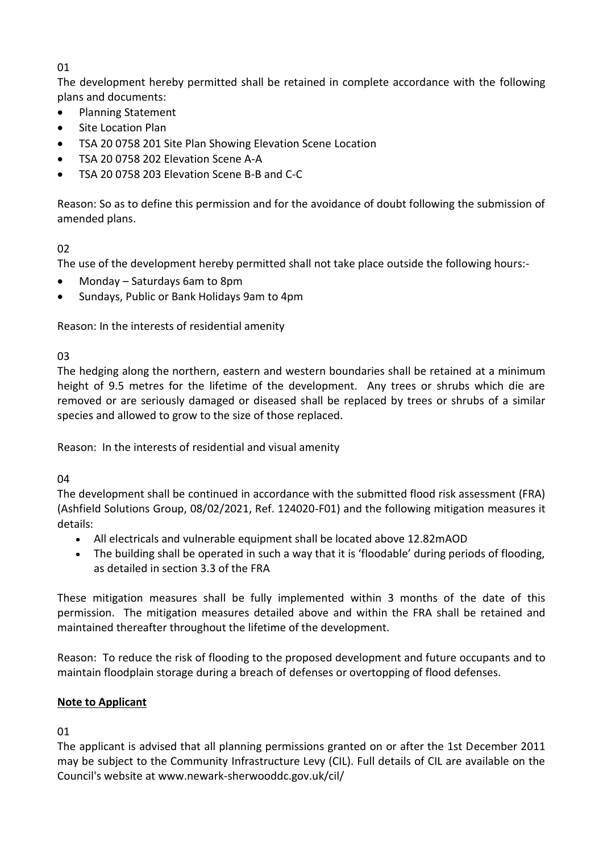# 01

The development hereby permitted shall be retained in complete accordance with the following plans and documents:

- Planning Statement
- Site Location Plan
- TSA 20 0758 201 Site Plan Showing Elevation Scene Location
- TSA 20 0758 202 Elevation Scene A-A
- TSA 20 0758 203 Elevation Scene B-B and C-C

Reason: So as to define this permission and for the avoidance of doubt following the submission of amended plans.

# 02

The use of the development hereby permitted shall not take place outside the following hours:-

- Monday Saturdays 6am to 8pm
- Sundays, Public or Bank Holidays 9am to 4pm

Reason: In the interests of residential amenity

03

The hedging along the northern, eastern and western boundaries shall be retained at a minimum height of 9.5 metres for the lifetime of the development. Any trees or shrubs which die are removed or are seriously damaged or diseased shall be replaced by trees or shrubs of a similar species and allowed to grow to the size of those replaced.

Reason: In the interests of residential and visual amenity

04

The development shall be continued in accordance with the submitted flood risk assessment (FRA) (Ashfield Solutions Group, 08/02/2021, Ref. 124020-F01) and the following mitigation measures it details:

- All electricals and vulnerable equipment shall be located above 12.82mAOD
- The building shall be operated in such a way that it is 'floodable' during periods of flooding, as detailed in section 3.3 of the FRA

These mitigation measures shall be fully implemented within 3 months of the date of this permission. The mitigation measures detailed above and within the FRA shall be retained and maintained thereafter throughout the lifetime of the development.

Reason: To reduce the risk of flooding to the proposed development and future occupants and to maintain floodplain storage during a breach of defenses or overtopping of flood defenses.

# **Note to Applicant**

01

The applicant is advised that all planning permissions granted on or after the 1st December 2011 may be subject to the Community Infrastructure Levy (CIL). Full details of CIL are available on the Council's website at www.newark-sherwooddc.gov.uk/cil/